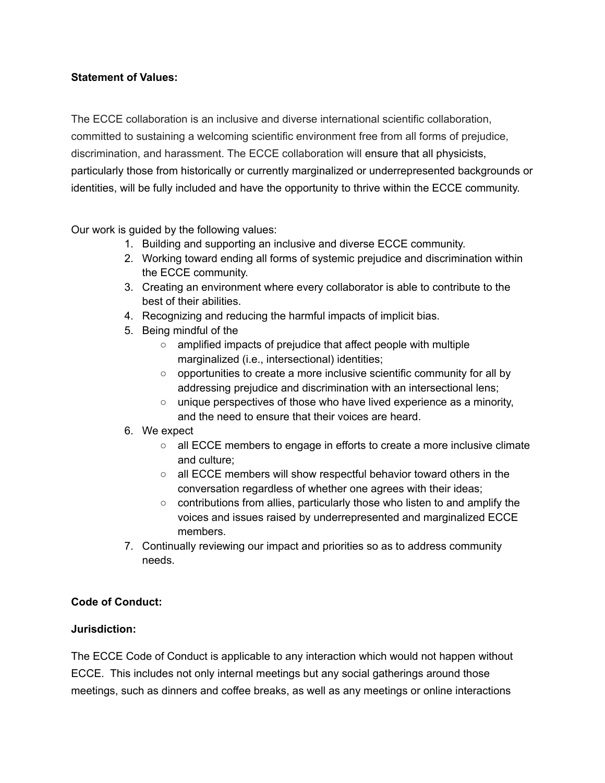## **Statement of Values:**

The ECCE collaboration is an inclusive and diverse international scientific collaboration, committed to sustaining a welcoming scientific environment free from all forms of prejudice, discrimination, and harassment. The ECCE collaboration will ensure that all physicists, particularly those from historically or currently marginalized or underrepresented backgrounds or identities, will be fully included and have the opportunity to thrive within the ECCE community.

Our work is guided by the following values:

- 1. Building and supporting an inclusive and diverse ECCE community.
- 2. Working toward ending all forms of systemic prejudice and discrimination within the ECCE community.
- 3. Creating an environment where every collaborator is able to contribute to the best of their abilities.
- 4. Recognizing and reducing the harmful impacts of implicit bias.
- 5. Being mindful of the
	- amplified impacts of prejudice that affect people with multiple marginalized (i.e., intersectional) identities;
	- $\circ$  opportunities to create a more inclusive scientific community for all by addressing prejudice and discrimination with an intersectional lens;
	- unique perspectives of those who have lived experience as a minority, and the need to ensure that their voices are heard.

#### 6. We expect

- all ECCE members to engage in efforts to create a more inclusive climate and culture;
- all ECCE members will show respectful behavior toward others in the conversation regardless of whether one agrees with their ideas;
- contributions from allies, particularly those who listen to and amplify the voices and issues raised by underrepresented and marginalized ECCE members.
- 7. Continually reviewing our impact and priorities so as to address community needs.

## **Code of Conduct:**

#### **Jurisdiction:**

The ECCE Code of Conduct is applicable to any interaction which would not happen without ECCE. This includes not only internal meetings but any social gatherings around those meetings, such as dinners and coffee breaks, as well as any meetings or online interactions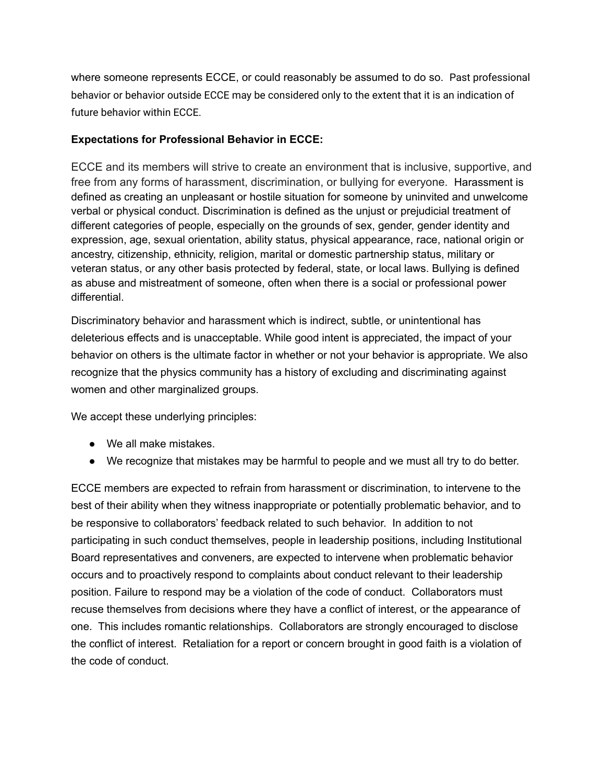where someone represents ECCE, or could reasonably be assumed to do so. Past professional behavior or behavior outside ECCE may be considered only to the extent that it is an indication of future behavior within ECCE.

#### **Expectations for Professional Behavior in ECCE:**

ECCE and its members will strive to create an environment that is inclusive, supportive, and free from any forms of harassment, discrimination, or bullying for everyone. Harassment is defined as creating an unpleasant or hostile situation for someone by uninvited and unwelcome verbal or physical conduct. Discrimination is defined as the unjust or prejudicial treatment of different categories of people, especially on the grounds of sex, gender, gender identity and expression, age, sexual orientation, ability status, physical appearance, race, national origin or ancestry, citizenship, ethnicity, religion, marital or domestic partnership status, military or veteran status, or any other basis protected by federal, state, or local laws. Bullying is defined as abuse and mistreatment of someone, often when there is a social or professional power differential.

Discriminatory behavior and harassment which is indirect, subtle, or unintentional has deleterious effects and is unacceptable. While good intent is appreciated, the impact of your behavior on others is the ultimate factor in whether or not your behavior is appropriate. We also recognize that the physics community has a history of excluding and discriminating against women and other marginalized groups.

We accept these underlying principles:

- We all make mistakes.
- We recognize that mistakes may be harmful to people and we must all try to do better.

ECCE members are expected to refrain from harassment or discrimination, to intervene to the best of their ability when they witness inappropriate or potentially problematic behavior, and to be responsive to collaborators' feedback related to such behavior. In addition to not participating in such conduct themselves, people in leadership positions, including Institutional Board representatives and conveners, are expected to intervene when problematic behavior occurs and to proactively respond to complaints about conduct relevant to their leadership position. Failure to respond may be a violation of the code of conduct. Collaborators must recuse themselves from decisions where they have a conflict of interest, or the appearance of one. This includes romantic relationships. Collaborators are strongly encouraged to disclose the conflict of interest. Retaliation for a report or concern brought in good faith is a violation of the code of conduct.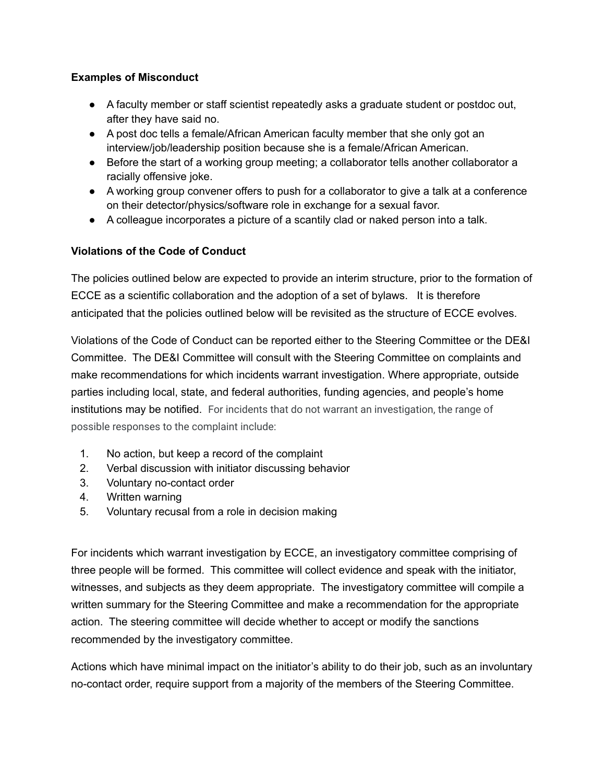## **Examples of Misconduct**

- A faculty member or staff scientist repeatedly asks a graduate student or postdoc out, after they have said no.
- A post doc tells a female/African American faculty member that she only got an interview/job/leadership position because she is a female/African American.
- Before the start of a working group meeting; a collaborator tells another collaborator a racially offensive joke.
- A working group convener offers to push for a collaborator to give a talk at a conference on their detector/physics/software role in exchange for a sexual favor.
- A colleague incorporates a picture of a scantily clad or naked person into a talk.

## **Violations of the Code of Conduct**

The policies outlined below are expected to provide an interim structure, prior to the formation of ECCE as a scientific collaboration and the adoption of a set of bylaws. It is therefore anticipated that the policies outlined below will be revisited as the structure of ECCE evolves.

Violations of the Code of Conduct can be reported either to the Steering Committee or the DE&I Committee. The DE&I Committee will consult with the Steering Committee on complaints and make recommendations for which incidents warrant investigation. Where appropriate, outside parties including local, state, and federal authorities, funding agencies, and people's home institutions may be notified. For incidents that do not warrant an investigation, the range of possible responses to the complaint include:

- 1. No action, but keep a record of the complaint
- 2. Verbal discussion with initiator discussing behavior
- 3. Voluntary no-contact order
- 4. Written warning
- 5. Voluntary recusal from a role in decision making

For incidents which warrant investigation by ECCE, an investigatory committee comprising of three people will be formed. This committee will collect evidence and speak with the initiator, witnesses, and subjects as they deem appropriate. The investigatory committee will compile a written summary for the Steering Committee and make a recommendation for the appropriate action. The steering committee will decide whether to accept or modify the sanctions recommended by the investigatory committee.

Actions which have minimal impact on the initiator's ability to do their job, such as an involuntary no-contact order, require support from a majority of the members of the Steering Committee.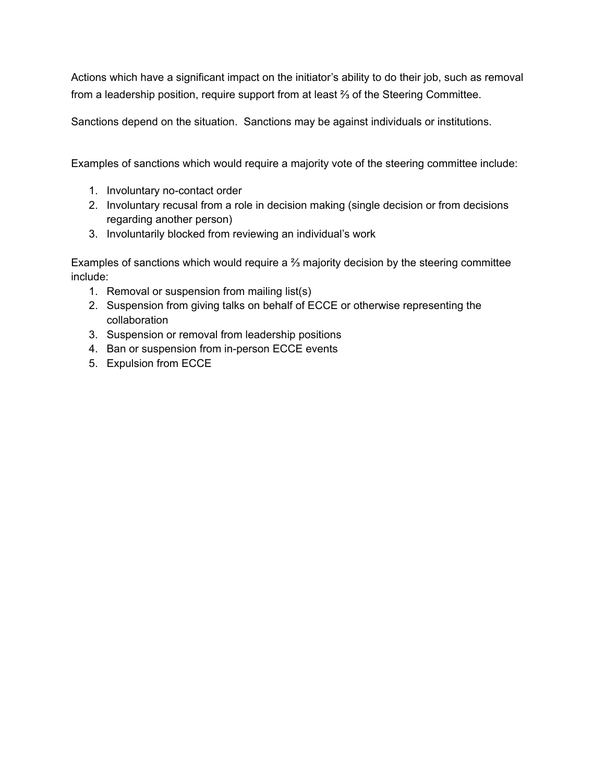Actions which have a significant impact on the initiator's ability to do their job, such as removal from a leadership position, require support from at least ⅔ of the Steering Committee.

Sanctions depend on the situation. Sanctions may be against individuals or institutions.

Examples of sanctions which would require a majority vote of the steering committee include:

- 1. Involuntary no-contact order
- 2. Involuntary recusal from a role in decision making (single decision or from decisions regarding another person)
- 3. Involuntarily blocked from reviewing an individual's work

Examples of sanctions which would require a ⅔ majority decision by the steering committee include:

- 1. Removal or suspension from mailing list(s)
- 2. Suspension from giving talks on behalf of ECCE or otherwise representing the collaboration
- 3. Suspension or removal from leadership positions
- 4. Ban or suspension from in-person ECCE events
- 5. Expulsion from ECCE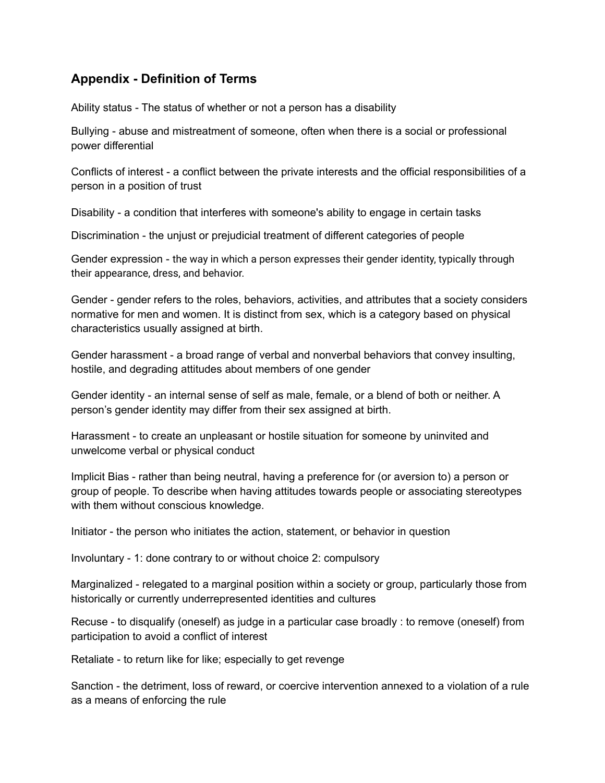# **Appendix - Definition of Terms**

Ability status - The status of whether or not a person has a disability

Bullying - abuse and mistreatment of someone, often when there is a social or professional power differential

Conflicts of interest - a conflict between the private interests and the official responsibilities of a person in a position of trust

Disability - a condition that interferes with someone's ability to engage in certain tasks

Discrimination - the unjust or prejudicial treatment of different categories of people

Gender expression - the way in which a person expresses their gender identity, typically through their appearance, dress, and behavior.

Gender - gender refers to the roles, behaviors, activities, and attributes that a society considers normative for men and women. It is distinct from sex, which is a category based on physical characteristics usually assigned at birth.

Gender harassment - a broad range of verbal and nonverbal behaviors that convey insulting, hostile, and degrading attitudes about members of one gender

Gender identity - an internal sense of self as male, female, or a blend of both or neither. A person's gender identity may differ from their sex assigned at birth.

Harassment - to create an unpleasant or hostile situation for someone by uninvited and unwelcome verbal or physical conduct

Implicit Bias - rather than being neutral, having a preference for (or aversion to) a person or group of people. To describe when having attitudes towards people or associating stereotypes with them without conscious knowledge.

Initiator - the person who initiates the action, statement, or behavior in question

Involuntary - 1: done contrary to or without choice 2: compulsory

Marginalized - relegated to a marginal position within a society or group, particularly those from historically or currently underrepresented identities and cultures

Recuse - to disqualify (oneself) as judge in a particular case broadly : to remove (oneself) from participation to avoid a conflict of interest

Retaliate - to return like for like; especially to get revenge

Sanction - the detriment, loss of reward, or coercive intervention annexed to a violation of a rule as a means of enforcing the rule